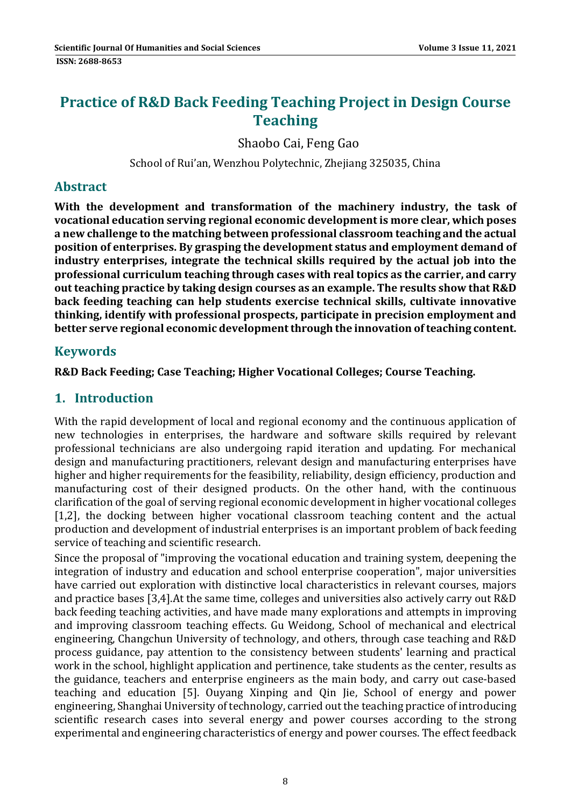# **Practice of R&D Back Feeding Teaching Project in Design Course Teaching**

Shaobo Cai, Feng Gao

School of Rui'an, Wenzhou Polytechnic, Zhejiang 325035, China

#### **Abstract**

**With the development and transformation of the machinery industry, the task of vocational education serving regional economic development is more clear, which poses a new challenge to the matching between professional classroom teaching and the actual position of enterprises. By grasping the development status and employment demand of industry enterprises, integrate the technical skills required by the actual job into the professional curriculum teaching through cases with real topics as the carrier, and carry out teaching practice by taking design courses as an example. The results show that R&D back feeding teaching can help students exercise technical skills, cultivate innovative thinking, identify with professional prospects, participate in precision employment and better serve regional economic developmentthrough the innovation ofteaching content.**

# **Keywords**

**R&D Back Feeding; Case Teaching; Higher Vocational Colleges; Course Teaching.** 

# **1. Introduction**

With the rapid development of local and regional economy and the continuous application of new technologies in enterprises, the hardware and software skills required by relevant professional technicians are also undergoing rapid iteration and updating. For mechanical design and manufacturing practitioners, relevant design and manufacturing enterprises have higher and higher requirements for the feasibility, reliability, design efficiency, production and manufacturing cost of their designed products. On the other hand, with the continuous clarification of the goal of serving regional economic development in higher vocational colleges [1,2], the docking between higher vocational classroom teaching content and the actual production and development of industrial enterprises is an important problem of back feeding service of teaching and scientific research.

Since the proposal of "improving the vocational education and training system, deepening the integration of industry and education and school enterprise cooperation", major universities have carried out exploration with distinctive local characteristics in relevant courses, majors and practice bases [3,4].At the same time, colleges and universities also actively carry out R&D back feeding teaching activities, and have made many explorations and attempts in improving and improving classroom teaching effects. Gu Weidong, School of mechanical and electrical engineering, Changchun University of technology, and others, through case teaching and R&D process guidance, pay attention to the consistency between students' learning and practical work in the school, highlight application and pertinence, take students as the center, results as the guidance, teachers and enterprise engineers as the main body, and carry out case-based teaching and education [5]. Ouyang Xinping and Qin Jie, School of energy and power engineering, Shanghai University of technology, carried out the teaching practice of introducing scientific research cases into several energy and power courses according to the strong experimental and engineering characteristics of energy and power courses. The effect feedback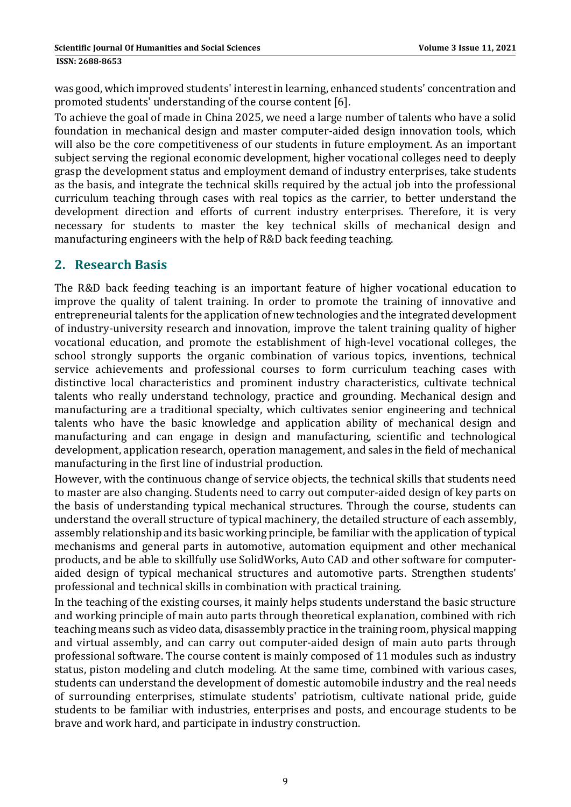was good, which improved students' interest in learning, enhanced students' concentration and promoted students' understanding of the course content [6].

To achieve the goal of made in China 2025, we need a large number of talents who have a solid foundation in mechanical design and master computer-aided design innovation tools, which will also be the core competitiveness of our students in future employment. As an important subject serving the regional economic development, higher vocational colleges need to deeply grasp the development status and employment demand of industry enterprises, take students as the basis, and integrate the technical skills required by the actual job into the professional curriculum teaching through cases with real topics as the carrier, to better understand the development direction and efforts of current industry enterprises. Therefore, it is very necessary for students to master the key technical skills of mechanical design and manufacturing engineers with the help of R&D back feeding teaching.

# **2. Research Basis**

The R&D back feeding teaching is an important feature of higher vocational education to improve the quality of talent training. In order to promote the training of innovative and entrepreneurial talents for the application of new technologies and the integrated development of industry-university research and innovation, improve the talent training quality of higher vocational education, and promote the establishment of high-level vocational colleges, the school strongly supports the organic combination of various topics, inventions, technical service achievements and professional courses to form curriculum teaching cases with distinctive local characteristics and prominent industry characteristics, cultivate technical talents who really understand technology, practice and grounding. Mechanical design and manufacturing are a traditional specialty, which cultivates senior engineering and technical talents who have the basic knowledge and application ability of mechanical design and manufacturing and can engage in design and manufacturing, scientific and technological development, application research, operation management, and sales in the field of mechanical manufacturing in the first line of industrial production.

However, with the continuous change of service objects, the technical skills that students need to master are also changing. Students need to carry out computer-aided design of key parts on the basis of understanding typical mechanical structures. Through the course, students can understand the overall structure of typical machinery, the detailed structure of each assembly, assembly relationship and its basic working principle, be familiar with the application of typical mechanisms and general parts in automotive, automation equipment and other mechanical products, and be able to skillfully use SolidWorks, Auto CAD and other software for computeraided design of typical mechanical structures and automotive parts. Strengthen students' professional and technical skills in combination with practical training.

In the teaching of the existing courses, it mainly helps students understand the basic structure and working principle of main auto parts through theoretical explanation, combined with rich teaching means such as video data, disassembly practice in the training room, physical mapping and virtual assembly, and can carry out computer-aided design of main auto parts through professional software. The course content is mainly composed of 11 modules such as industry status, piston modeling and clutch modeling. At the same time, combined with various cases, students can understand the development of domestic automobile industry and the real needs of surrounding enterprises, stimulate students' patriotism, cultivate national pride, guide students to be familiar with industries, enterprises and posts, and encourage students to be brave and work hard, and participate in industry construction.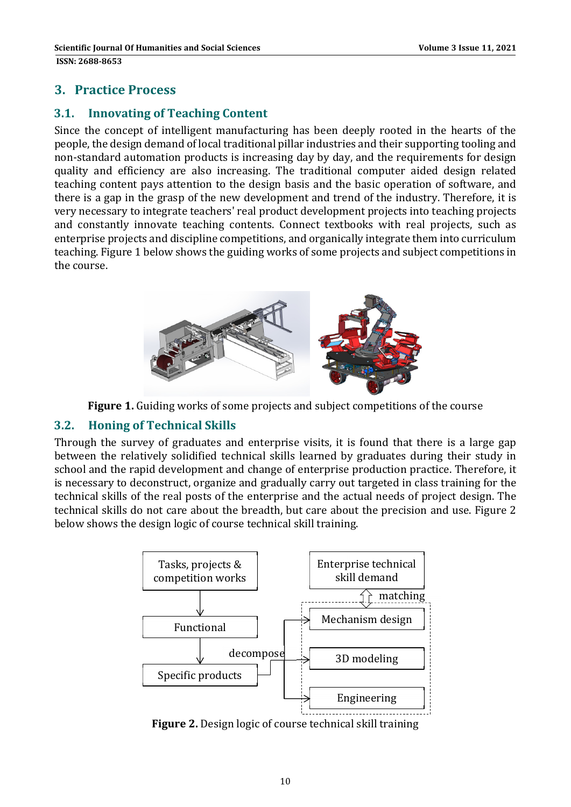# **3. Practice Process**

### **3.1. Innovating of Teaching Content**

Since the concept of intelligent manufacturing has been deeply rooted in the hearts of the people, the design demand of local traditional pillar industries and their supporting tooling and non-standard automation products is increasing day by day, and the requirements for design quality and efficiency are also increasing. The traditional computer aided design related teaching content pays attention to the design basis and the basic operation of software, and there is a gap in the grasp of the new development and trend of the industry. Therefore, it is very necessary to integrate teachers' real product development projects into teaching projects and constantly innovate teaching contents. Connect textbooks with real projects, such as enterprise projects and discipline competitions, and organically integrate them into curriculum teaching. Figure 1 below shows the guiding works of some projects and subject competitions in the course.



**Figure 1.** Guiding works of some projects and subject competitions of the course

#### **3.2. Honing of Technical Skills**

Through the survey of graduates and enterprise visits, it is found that there is a large gap between the relatively solidified technical skills learned by graduates during their study in school and the rapid development and change of enterprise production practice. Therefore, it is necessary to deconstruct, organize and gradually carry out targeted in class training for the technical skills of the real posts of the enterprise and the actual needs of project design. The technical skills do not care about the breadth, but care about the precision and use. Figure 2 below shows the design logic of course technical skill training.



**Figure 2.** Design logic of course technical skill training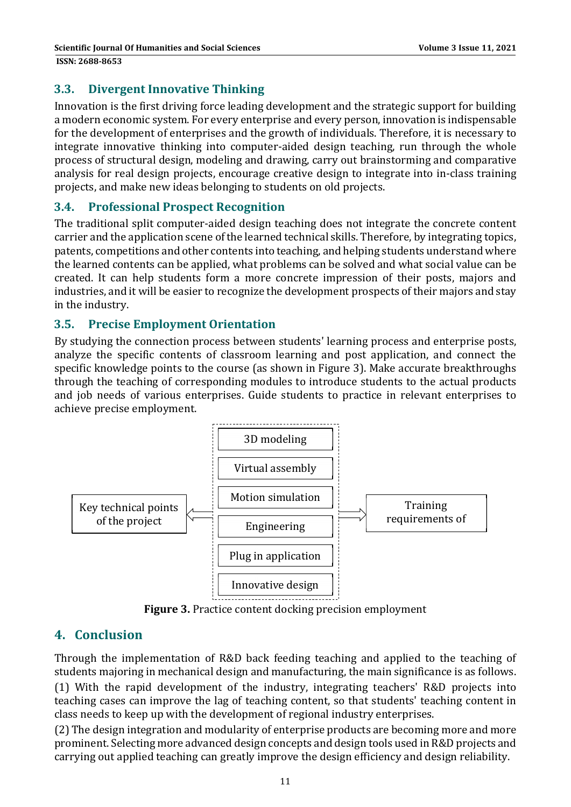# **3.3. Divergent Innovative Thinking**

Innovation is the first driving force leading development and the strategic support for building a modern economic system. For every enterprise and every person, innovation is indispensable for the development of enterprises and the growth of individuals. Therefore, it is necessary to integrate innovative thinking into computer-aided design teaching, run through the whole process of structural design, modeling and drawing, carry out brainstorming and comparative analysis for real design projects, encourage creative design to integrate into in-class training projects, and make new ideas belonging to students on old projects.

#### **3.4. Professional Prospect Recognition**

The traditional split computer-aided design teaching does not integrate the concrete content carrier and the application scene of the learned technical skills. Therefore, by integrating topics, patents, competitions and other contents into teaching, and helping students understand where the learned contents can be applied, what problems can be solved and what social value can be created. It can help students form a more concrete impression of their posts, majors and industries, and it will be easier to recognize the development prospects of their majors and stay in the industry.

#### **3.5. Precise Employment Orientation**

By studying the connection process between students' learning process and enterprise posts, analyze the specific contents of classroom learning and post application, and connect the specific knowledge points to the course (as shown in Figure 3). Make accurate breakthroughs through the teaching of corresponding modules to introduce students to the actual products and job needs of various enterprises. Guide students to practice in relevant enterprises to achieve precise employment.



**Figure 3.** Practice content docking precision employment

# **4. Conclusion**

Through the implementation of R&D back feeding teaching and applied to the teaching of students majoring in mechanical design and manufacturing, the main significance is as follows. (1) With the rapid development of the industry, integrating teachers' R&D projects into teaching cases can improve the lag of teaching content, so that students' teaching content in class needs to keep up with the development of regional industry enterprises.

(2) The design integration and modularity of enterprise products are becoming more and more prominent. Selecting more advanced design concepts and design tools used in R&D projects and carrying out applied teaching can greatly improve the design efficiency and design reliability.